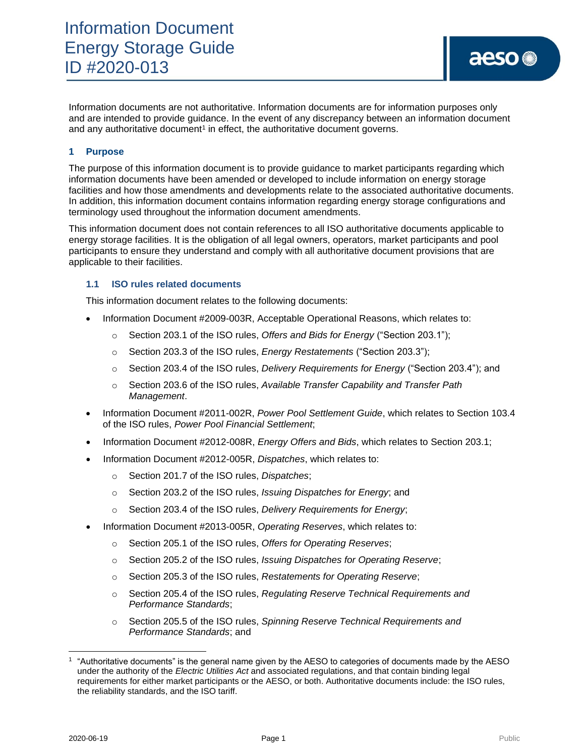Information documents are not authoritative. Information documents are for information purposes only and are intended to provide guidance. In the event of any discrepancy between an information document and any authoritative document<sup>1</sup> in effect, the authoritative document governs.

## **1 Purpose**

The purpose of this information document is to provide guidance to market participants regarding which information documents have been amended or developed to include information on energy storage facilities and how those amendments and developments relate to the associated authoritative documents. In addition, this information document contains information regarding energy storage configurations and terminology used throughout the information document amendments.

This information document does not contain references to all ISO authoritative documents applicable to energy storage facilities. It is the obligation of all legal owners, operators, market participants and pool participants to ensure they understand and comply with all authoritative document provisions that are applicable to their facilities.

### **1.1 ISO rules related documents**

This information document relates to the following documents:

- Information Document #2009-003R, Acceptable Operational Reasons, which relates to:
	- o Section 203.1 of the ISO rules, *Offers and Bids for Energy* ("Section 203.1");
	- o Section 203.3 of the ISO rules, *Energy Restatements* ("Section 203.3");
	- o Section 203.4 of the ISO rules, *Delivery Requirements for Energy* ("Section 203.4"); and
	- o Section 203.6 of the ISO rules, *Available Transfer Capability and Transfer Path Management*.
- Information Document #2011-002R, *Power Pool Settlement Guide*, which relates to Section 103.4 of the ISO rules, *Power Pool Financial Settlement*;
- Information Document #2012-008R, *Energy Offers and Bids*, which relates to Section 203.1;
- Information Document #2012-005R, *Dispatches*, which relates to:
	- o Section 201.7 of the ISO rules, *Dispatches*;
	- o Section 203.2 of the ISO rules, *Issuing Dispatches for Energy*; and
	- o Section 203.4 of the ISO rules, *Delivery Requirements for Energy*;
- Information Document #2013-005R, *Operating Reserves*, which relates to:
	- o Section 205.1 of the ISO rules, *Offers for Operating Reserves*;
	- o Section 205.2 of the ISO rules, *Issuing Dispatches for Operating Reserve*;
	- o Section 205.3 of the ISO rules, *Restatements for Operating Reserve*;
	- o Section 205.4 of the ISO rules, *Regulating Reserve Technical Requirements and Performance Standards*;
	- o Section 205.5 of the ISO rules, *Spinning Reserve Technical Requirements and Performance Standards*; and

<sup>1</sup> "Authoritative documents" is the general name given by the AESO to categories of documents made by the AESO under the authority of the *Electric Utilities Act* and associated regulations, and that contain binding legal requirements for either market participants or the AESO, or both. Authoritative documents include: the ISO rules, the reliability standards, and the ISO tariff.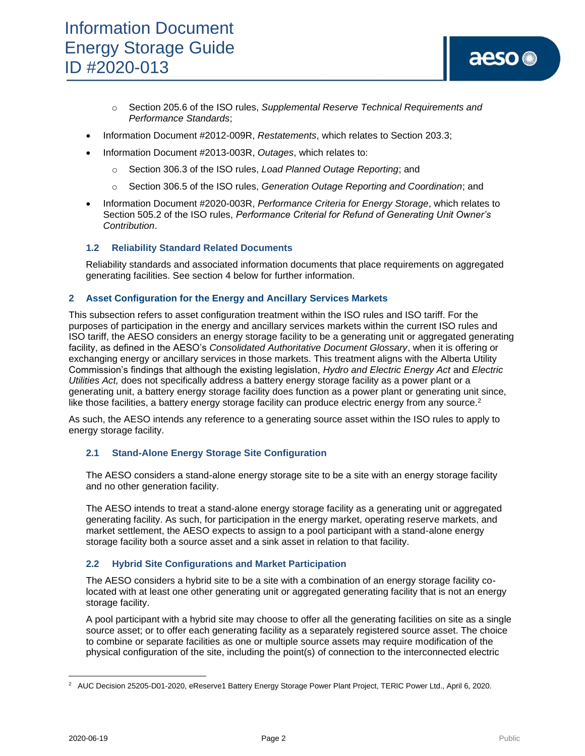- o Section 205.6 of the ISO rules, *Supplemental Reserve Technical Requirements and Performance Standards*;
- Information Document #2012-009R, *Restatements*, which relates to Section 203.3;
- Information Document #2013-003R, *Outages*, which relates to:
	- o Section 306.3 of the ISO rules, *Load Planned Outage Reporting*; and
	- o Section 306.5 of the ISO rules, *Generation Outage Reporting and Coordination*; and
- Information Document #2020-003R, *Performance Criteria for Energy Storage*, which relates to Section 505.2 of the ISO rules, *Performance Criterial for Refund of Generating Unit Owner's Contribution*.

### **1.2 Reliability Standard Related Documents**

Reliability standards and associated information documents that place requirements on aggregated generating facilities. See section 4 below for further information.

### **2 Asset Configuration for the Energy and Ancillary Services Markets**

This subsection refers to asset configuration treatment within the ISO rules and ISO tariff. For the purposes of participation in the energy and ancillary services markets within the current ISO rules and ISO tariff, the AESO considers an energy storage facility to be a generating unit or aggregated generating facility, as defined in the AESO's *Consolidated Authoritative Document Glossary*, when it is offering or exchanging energy or ancillary services in those markets. This treatment aligns with the Alberta Utility Commission's findings that although the existing legislation, *Hydro and Electric Energy Act* and *Electric Utilities Act,* does not specifically address a battery energy storage facility as a power plant or a generating unit, a battery energy storage facility does function as a power plant or generating unit since, like those facilities, a battery energy storage facility can produce electric energy from any source.<sup>2</sup>

As such, the AESO intends any reference to a generating source asset within the ISO rules to apply to energy storage facility.

### **2.1 Stand-Alone Energy Storage Site Configuration**

The AESO considers a stand-alone energy storage site to be a site with an energy storage facility and no other generation facility.

The AESO intends to treat a stand-alone energy storage facility as a generating unit or aggregated generating facility. As such, for participation in the energy market, operating reserve markets, and market settlement, the AESO expects to assign to a pool participant with a stand-alone energy storage facility both a source asset and a sink asset in relation to that facility.

### **2.2 Hybrid Site Configurations and Market Participation**

The AESO considers a hybrid site to be a site with a combination of an energy storage facility colocated with at least one other generating unit or aggregated generating facility that is not an energy storage facility.

A pool participant with a hybrid site may choose to offer all the generating facilities on site as a single source asset; or to offer each generating facility as a separately registered source asset. The choice to combine or separate facilities as one or multiple source assets may require modification of the physical configuration of the site, including the point(s) of connection to the interconnected electric

<sup>&</sup>lt;sup>2</sup> AUC Decision 25205-D01-2020, eReserve1 Battery Energy Storage Power Plant Project, TERIC Power Ltd., April 6, 2020.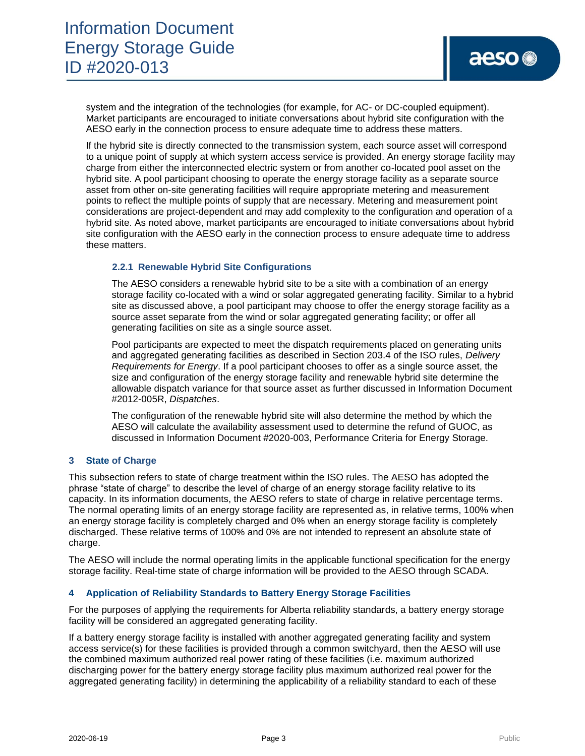system and the integration of the technologies (for example, for AC- or DC-coupled equipment). Market participants are encouraged to initiate conversations about hybrid site configuration with the AESO early in the connection process to ensure adequate time to address these matters.

If the hybrid site is directly connected to the transmission system, each source asset will correspond to a unique point of supply at which system access service is provided. An energy storage facility may charge from either the interconnected electric system or from another co-located pool asset on the hybrid site. A pool participant choosing to operate the energy storage facility as a separate source asset from other on-site generating facilities will require appropriate metering and measurement points to reflect the multiple points of supply that are necessary. Metering and measurement point considerations are project-dependent and may add complexity to the configuration and operation of a hybrid site. As noted above, market participants are encouraged to initiate conversations about hybrid site configuration with the AESO early in the connection process to ensure adequate time to address these matters.

### **2.2.1 Renewable Hybrid Site Configurations**

The AESO considers a renewable hybrid site to be a site with a combination of an energy storage facility co-located with a wind or solar aggregated generating facility. Similar to a hybrid site as discussed above, a pool participant may choose to offer the energy storage facility as a source asset separate from the wind or solar aggregated generating facility; or offer all generating facilities on site as a single source asset.

Pool participants are expected to meet the dispatch requirements placed on generating units and aggregated generating facilities as described in Section 203.4 of the ISO rules, *Delivery Requirements for Energy*. If a pool participant chooses to offer as a single source asset, the size and configuration of the energy storage facility and renewable hybrid site determine the allowable dispatch variance for that source asset as further discussed in Information Document #2012-005R, *Dispatches*.

The configuration of the renewable hybrid site will also determine the method by which the AESO will calculate the availability assessment used to determine the refund of GUOC, as discussed in Information Document #2020-003, Performance Criteria for Energy Storage.

### **3 State of Charge**

This subsection refers to state of charge treatment within the ISO rules. The AESO has adopted the phrase "state of charge" to describe the level of charge of an energy storage facility relative to its capacity. In its information documents, the AESO refers to state of charge in relative percentage terms. The normal operating limits of an energy storage facility are represented as, in relative terms, 100% when an energy storage facility is completely charged and 0% when an energy storage facility is completely discharged. These relative terms of 100% and 0% are not intended to represent an absolute state of charge.

The AESO will include the normal operating limits in the applicable functional specification for the energy storage facility. Real-time state of charge information will be provided to the AESO through SCADA.

### **4 Application of Reliability Standards to Battery Energy Storage Facilities**

For the purposes of applying the requirements for Alberta reliability standards, a battery energy storage facility will be considered an aggregated generating facility.

If a battery energy storage facility is installed with another aggregated generating facility and system access service(s) for these facilities is provided through a common switchyard, then the AESO will use the combined maximum authorized real power rating of these facilities (i.e. maximum authorized discharging power for the battery energy storage facility plus maximum authorized real power for the aggregated generating facility) in determining the applicability of a reliability standard to each of these